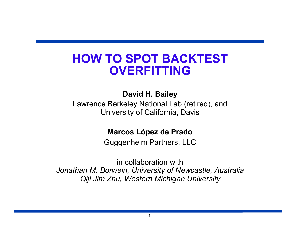# **HOW TO SPOT BACKTEST OVERFITTING**

**David H. Bailey** 

Lawrence Berkeley National Lab (retired), and University of California, Davis

**Marcos López de Prado** 

Guggenheim Partners, LLC

in collaboration with *Jonathan M. Borwein, University of Newcastle, Australia Qiji Jim Zhu, Western Michigan University*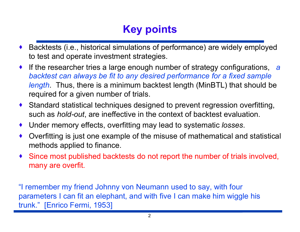# **Key points**

- · Backtests (i.e., historical simulations of performance) are widely employed to test and operate investment strategies.
- · If the researcher tries a large enough number of strategy configurations, *a backtest can always be fit to any desired performance for a fixed sample length*. Thus, there is a minimum backtest length (MinBTL) that should be required for a given number of trials.
- · Standard statistical techniques designed to prevent regression overfitting, such as *hold-out*, are ineffective in the context of backtest evaluation.
- · Under memory effects, overfitting may lead to systematic *losses*.
- · Overfitting is just one example of the misuse of mathematical and statistical methods applied to finance.
- · Since most published backtests do not report the number of trials involved, many are overfit.

"I remember my friend Johnny von Neumann used to say, with four parameters I can fit an elephant, and with five I can make him wiggle his trunk." [Enrico Fermi, 1953]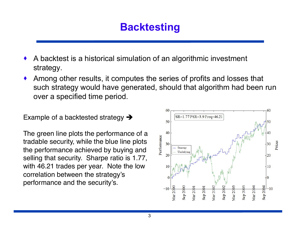# **Backtesting**

- · A backtest is a historical simulation of an algorithmic investment strategy.
- Among other results, it computes the series of profits and losses that such strategy would have generated, should that algorithm had been run over a specified time period.

Example of a backtested strategy  $\rightarrow$ 

The green line plots the performance of a tradable security, while the blue line plots the performance achieved by buying and selling that security. Sharpe ratio is 1.77, with 46.21 trades per year. Note the low correlation between the strategy's performance and the security's.

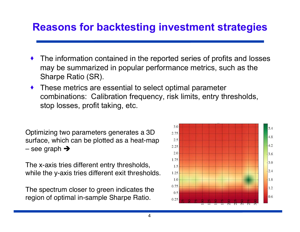#### **Reasons for backtesting investment strategies**

- The information contained in the reported series of profits and losses may be summarized in popular performance metrics, such as the Sharpe Ratio (SR).
- · These metrics are essential to select optimal parameter combinations: Calibration frequency, risk limits, entry thresholds, stop losses, profit taking, etc.

Optimizing two parameters generates a 3D surface, which can be plotted as a heat-map – see graph  $\rightarrow$ 

The x-axis tries different entry thresholds, while the y-axis tries different exit thresholds.

The spectrum closer to green indicates the region of optimal in-sample Sharpe Ratio.

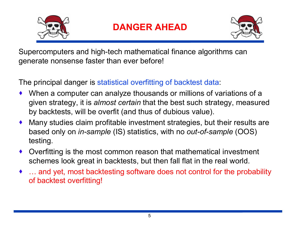



Supercomputers and high-tech mathematical finance algorithms can generate nonsense faster than ever before!

The principal danger is statistical overfitting of backtest data:

- · When a computer can analyze thousands or millions of variations of a given strategy, it is *almost certain* that the best such strategy, measured by backtests, will be overfit (and thus of dubious value).
- · Many studies claim profitable investment strategies, but their results are based only on *in-sample* (IS) statistics, with no *out-of-sample* (OOS) testing.
- · Overfitting is the most common reason that mathematical investment schemes look great in backtests, but then fall flat in the real world.
- ... and yet, most backtesting software does not control for the probability of backtest overfitting!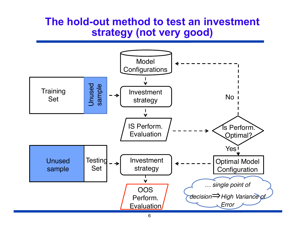#### **The hold-out method to test an investment strategy (not very good)**

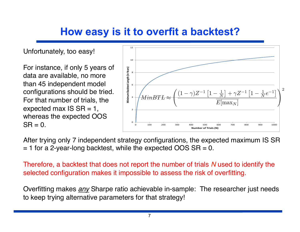# **How easy is it to overfit a backtest?**

Unfortunately, too easy!

For instance, if only 5 years of data are available, no more than 45 independent model configurations should be tried. For that number of trials, the expected max  $IS$   $SR = 1$ , whereas the expected OOS  $SR = 0.$ 



After trying only 7 independent strategy configurations, the expected maximum IS SR  $= 1$  for a 2-year-long backtest, while the expected OOS SR  $= 0$ .

Therefore, a backtest that does not report the number of trials *N* used to identify the selected configuration makes it impossible to assess the risk of overfitting.

Overfitting makes *any* Sharpe ratio achievable in-sample:The researcher just needs to keep trying alternative parameters for that strategy!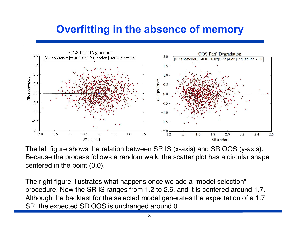### **Overfitting in the absence of memory**



The left figure shows the relation between SR IS (x-axis) and SR OOS (y-axis). Because the process follows a random walk, the scatter plot has a circular shape centered in the point (0,0).

The right figure illustrates what happens once we add a "model selection" procedure. Now the SR IS ranges from 1.2 to 2.6, and it is centered around 1.7. Although the backtest for the selected model generates the expectation of a 1.7 SR, the expected SR OOS is unchanged around 0.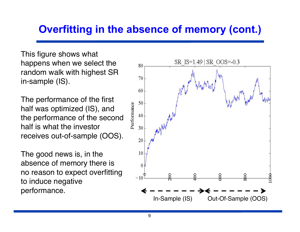## **Overfitting in the absence of memory (cont.)**

This figure shows what happens when we select the random walk with highest SR in-sample (IS).

The performance of the first half was optimized (IS), and the performance of the second half is what the investor receives out-of-sample (OOS).

The good news is, in the absence of memory there is no reason to expect overfitting to induce negative performance.

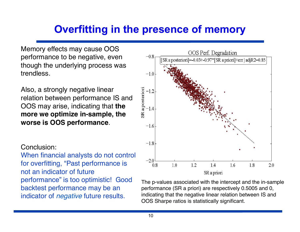# **Overfitting in the presence of memory**

Memory effects may cause OOS performance to be negative, even though the underlying process was trendless.

Also, a strongly negative linear relation between performance IS and OOS may arise, indicating that **the more we optimize in-sample, the worse is OOS performance**.

#### Conclusion:

When financial analysts do not control for overfitting, "Past performance is not an indicator of future performance" is too optimistic! Good backtest performance may be an indicator of *negative* future results.



The p-values associated with the intercept and the in-sample performance (SR a priori) are respectively 0.5005 and 0, indicating that the negative linear relation between IS and OOS Sharpe ratios is statistically significant.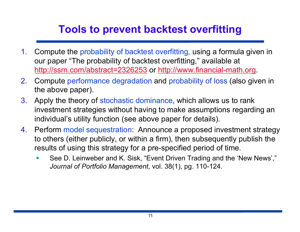# **Tools to prevent backtest overfitting**

- 1. Compute the probability of backtest overfitting*,* using a formula given in our paper "The probability of backtest overfitting," available at http://ssrn.com/abstract=2326253 or http://www.financial-math.org.
- 2. Compute performance degradation and probability of loss (also given in the above paper).
- 3. Apply the theory of stochastic dominance, which allows us to rank investment strategies without having to make assumptions regarding an individual's utility function (see above paper for details).
- 4. Perform model sequestration: Announce a proposed investment strategy to others (either publicly, or within a firm), then subsequently publish the results of using this strategy for a pre-specified period of time.
	- See D. Leinweber and K. Sisk, "Event Driven Trading and the 'New News'," *Journal of Portfolio Management*, vol. 38(1), pg. 110-124.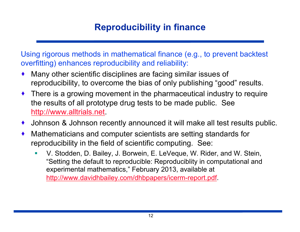#### **Reproducibility in finance**

Using rigorous methods in mathematical finance (e.g., to prevent backtest overfitting) enhances reproducibility and reliability:

- Many other scientific disciplines are facing similar issues of reproducibility, to overcome the bias of only publishing "good" results.
- There is a growing movement in the pharmaceutical industry to require the results of all prototype drug tests to be made public. See http://www.alltrials.net.
- · Johnson & Johnson recently announced it will make all test results public.
- · Mathematicians and computer scientists are setting standards for reproducibility in the field of scientific computing. See:
	- § V. Stodden, D. Bailey, J. Borwein, E. LeVeque, W. Rider, and W. Stein, "Setting the default to reproducible: Reproduciblity in computational and experimental mathematics," February 2013, available at http://www.davidhbailey.com/dhbpapers/icerm-report.pdf.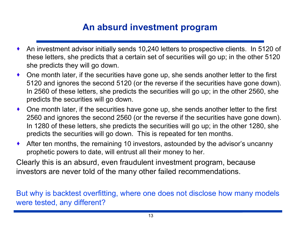#### **An absurd investment program**

- · An investment advisor initially sends 10,240 letters to prospective clients. In 5120 of these letters, she predicts that a certain set of securities will go up; in the other 5120 she predicts they will go down.
- · One month later, if the securities have gone up, she sends another letter to the first 5120 and ignores the second 5120 (or the reverse if the securities have gone down). In 2560 of these letters, she predicts the securities will go up; in the other 2560, she predicts the securities will go down.
- · One month later, if the securities have gone up, she sends another letter to the first 2560 and ignores the second 2560 (or the reverse if the securities have gone down). In 1280 of these letters, she predicts the securities will go up; in the other 1280, she predicts the securities will go down. This is repeated for ten months.
- · After ten months, the remaining 10 investors, astounded by the advisor's uncanny prophetic powers to date, will entrust all their money to her.

Clearly this is an absurd, even fraudulent investment program, because investors are never told of the many other failed recommendations.

But why is backtest overfitting, where one does not disclose how many models were tested, any different?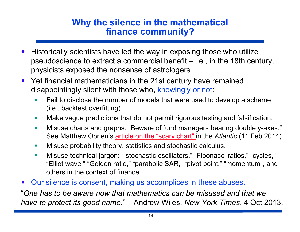#### **Why the silence in the mathematical finance community?**

- · Historically scientists have led the way in exposing those who utilize pseudoscience to extract a commercial benefit – i.e., in the 18th century, physicists exposed the nonsense of astrologers.
- · Yet financial mathematicians in the 21st century have remained disappointingly silent with those who, knowingly or not:
	- Fail to disclose the number of models that were used to develop a scheme (i.e., backtest overfitting).
	- **Make vague predictions that do not permit rigorous testing and falsification.**
	- Misuse charts and graphs: "Beware of fund managers bearing double y-axes." See Matthew Obrien's article on the "scary chart" in the *Atlantic* (11 Feb 2014).
	- **Misuse probability theory, statistics and stochastic calculus.**
	- § Misuse technical jargon: "stochastic oscillators," "Fibonacci ratios," "cycles," "Elliot wave," "Golden ratio," "parabolic SAR," "pivot point," "momentum", and others in the context of finance.
- · Our silence is consent, making us accomplices in these abuses.

"*One has to be aware now that mathematics can be misused and that we have to protect its good name*." – Andrew Wiles, *New York Times*, 4 Oct 2013.